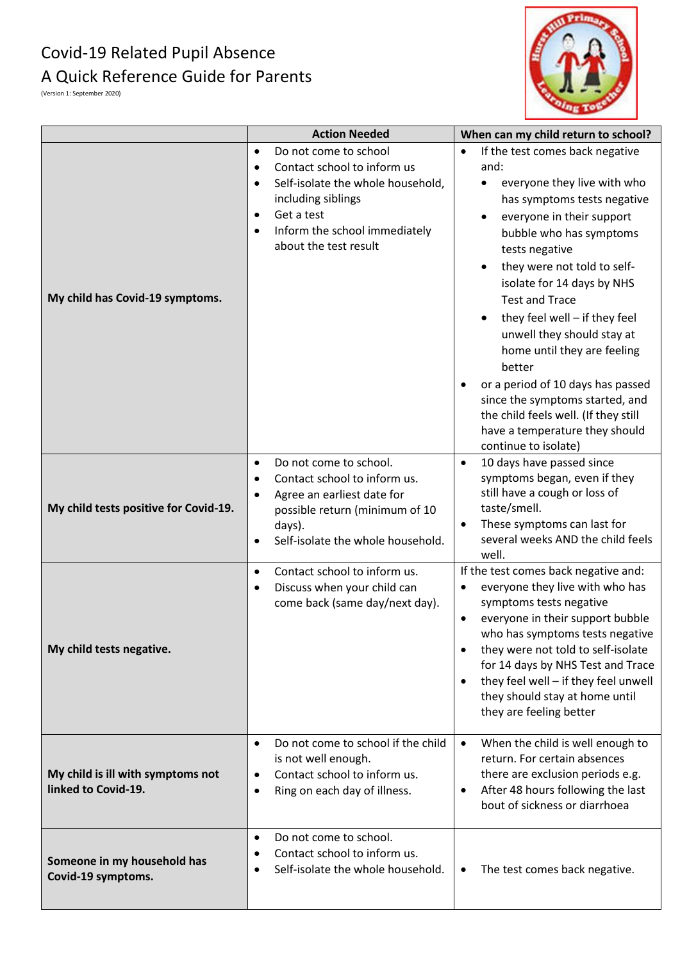## Covid-19 Related Pupil Absence A Quick Reference Guide for Parents



(Version 1: September 2020)

|                                                          | <b>Action Needed</b>                                                                                                                                                                                                                                     | When can my child return to school?                                                                                                                                                                                                                                                                                                                                                                                                                                                                                                                     |
|----------------------------------------------------------|----------------------------------------------------------------------------------------------------------------------------------------------------------------------------------------------------------------------------------------------------------|---------------------------------------------------------------------------------------------------------------------------------------------------------------------------------------------------------------------------------------------------------------------------------------------------------------------------------------------------------------------------------------------------------------------------------------------------------------------------------------------------------------------------------------------------------|
| My child has Covid-19 symptoms.                          | Do not come to school<br>$\bullet$<br>Contact school to inform us<br>$\bullet$<br>Self-isolate the whole household,<br>$\bullet$<br>including siblings<br>Get a test<br>$\bullet$<br>Inform the school immediately<br>$\bullet$<br>about the test result | If the test comes back negative<br>and:<br>everyone they live with who<br>has symptoms tests negative<br>everyone in their support<br>bubble who has symptoms<br>tests negative<br>they were not told to self-<br>isolate for 14 days by NHS<br><b>Test and Trace</b><br>they feel well - if they feel<br>unwell they should stay at<br>home until they are feeling<br>better<br>or a period of 10 days has passed<br>since the symptoms started, and<br>the child feels well. (If they still<br>have a temperature they should<br>continue to isolate) |
| My child tests positive for Covid-19.                    | Do not come to school.<br>$\bullet$<br>Contact school to inform us.<br>$\bullet$<br>Agree an earliest date for<br>$\bullet$<br>possible return (minimum of 10<br>days).<br>Self-isolate the whole household.                                             | 10 days have passed since<br>$\bullet$<br>symptoms began, even if they<br>still have a cough or loss of<br>taste/smell.<br>These symptoms can last for<br>several weeks AND the child feels<br>well.                                                                                                                                                                                                                                                                                                                                                    |
| My child tests negative.                                 | Contact school to inform us.<br>$\bullet$<br>Discuss when your child can<br>$\bullet$<br>come back (same day/next day).                                                                                                                                  | If the test comes back negative and:<br>everyone they live with who has<br>symptoms tests negative<br>everyone in their support bubble<br>who has symptoms tests negative<br>they were not told to self-isolate<br>for 14 days by NHS Test and Trace<br>they feel well - if they feel unwell<br>they should stay at home until<br>they are feeling better                                                                                                                                                                                               |
| My child is ill with symptoms not<br>linked to Covid-19. | Do not come to school if the child<br>$\bullet$<br>is not well enough.<br>Contact school to inform us.<br>$\bullet$<br>Ring on each day of illness.<br>٠                                                                                                 | When the child is well enough to<br>return. For certain absences<br>there are exclusion periods e.g.<br>After 48 hours following the last<br>bout of sickness or diarrhoea                                                                                                                                                                                                                                                                                                                                                                              |
| Someone in my household has<br>Covid-19 symptoms.        | Do not come to school.<br>$\bullet$<br>Contact school to inform us.<br>Self-isolate the whole household.                                                                                                                                                 | The test comes back negative.<br>٠                                                                                                                                                                                                                                                                                                                                                                                                                                                                                                                      |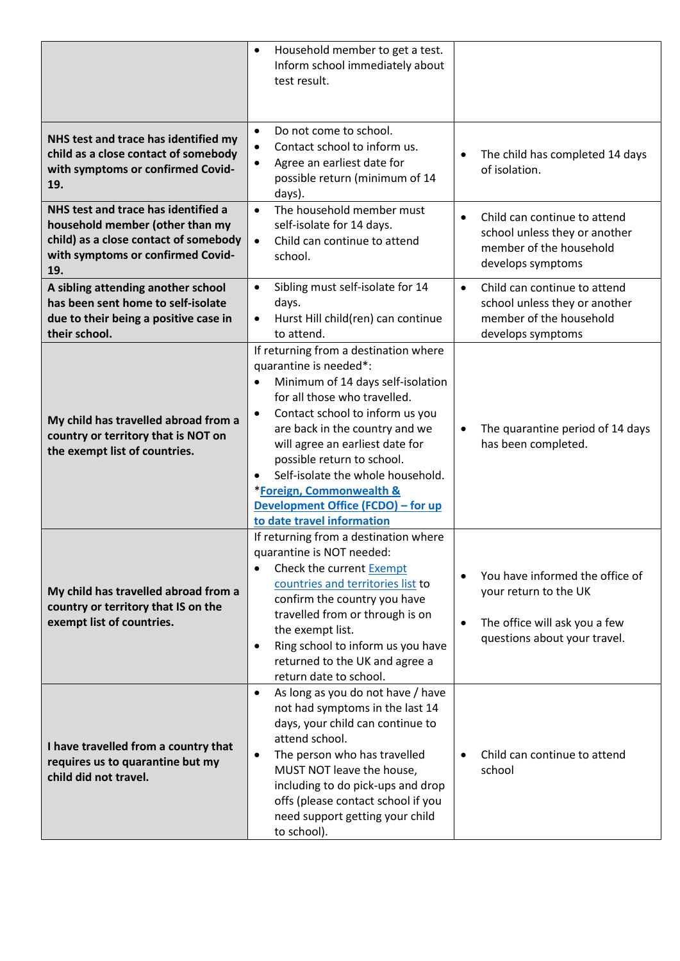|                                                                                                                                                             | Household member to get a test.<br>$\bullet$<br>Inform school immediately about<br>test result.                                                                                                                                                                                                                                                                                                                                           |                                                                                                                                        |
|-------------------------------------------------------------------------------------------------------------------------------------------------------------|-------------------------------------------------------------------------------------------------------------------------------------------------------------------------------------------------------------------------------------------------------------------------------------------------------------------------------------------------------------------------------------------------------------------------------------------|----------------------------------------------------------------------------------------------------------------------------------------|
| NHS test and trace has identified my<br>child as a close contact of somebody<br>with symptoms or confirmed Covid-<br>19.                                    | Do not come to school.<br>$\bullet$<br>Contact school to inform us.<br>$\bullet$<br>Agree an earliest date for<br>$\bullet$<br>possible return (minimum of 14<br>days).                                                                                                                                                                                                                                                                   | The child has completed 14 days<br>$\bullet$<br>of isolation.                                                                          |
| NHS test and trace has identified a<br>household member (other than my<br>child) as a close contact of somebody<br>with symptoms or confirmed Covid-<br>19. | The household member must<br>$\bullet$<br>self-isolate for 14 days.<br>Child can continue to attend<br>$\bullet$<br>school.                                                                                                                                                                                                                                                                                                               | Child can continue to attend<br>$\bullet$<br>school unless they or another<br>member of the household<br>develops symptoms             |
| A sibling attending another school<br>has been sent home to self-isolate<br>due to their being a positive case in<br>their school.                          | Sibling must self-isolate for 14<br>$\bullet$<br>days.<br>Hurst Hill child(ren) can continue<br>$\bullet$<br>to attend.                                                                                                                                                                                                                                                                                                                   | Child can continue to attend<br>$\bullet$<br>school unless they or another<br>member of the household<br>develops symptoms             |
| My child has travelled abroad from a<br>country or territory that is NOT on<br>the exempt list of countries.                                                | If returning from a destination where<br>quarantine is needed*:<br>Minimum of 14 days self-isolation<br>$\bullet$<br>for all those who travelled.<br>Contact school to inform us you<br>$\bullet$<br>are back in the country and we<br>will agree an earliest date for<br>possible return to school.<br>Self-isolate the whole household.<br>*Foreign, Commonwealth &<br>Development Office (FCDO) - for up<br>to date travel information | The quarantine period of 14 days<br>$\bullet$<br>has been completed.                                                                   |
| My child has travelled abroad from a<br>country or territory that IS on the<br>exempt list of countries.                                                    | If returning from a destination where<br>quarantine is NOT needed:<br>Check the current Exempt<br>$\bullet$<br>countries and territories list to<br>confirm the country you have<br>travelled from or through is on<br>the exempt list.<br>Ring school to inform us you have<br>$\bullet$<br>returned to the UK and agree a<br>return date to school.                                                                                     | You have informed the office of<br>your return to the UK<br>The office will ask you a few<br>$\bullet$<br>questions about your travel. |
| I have travelled from a country that<br>requires us to quarantine but my<br>child did not travel.                                                           | As long as you do not have / have<br>$\bullet$<br>not had symptoms in the last 14<br>days, your child can continue to<br>attend school.<br>The person who has travelled<br>$\bullet$<br>MUST NOT leave the house,<br>including to do pick-ups and drop<br>offs (please contact school if you<br>need support getting your child<br>to school).                                                                                            | Child can continue to attend<br>school                                                                                                 |